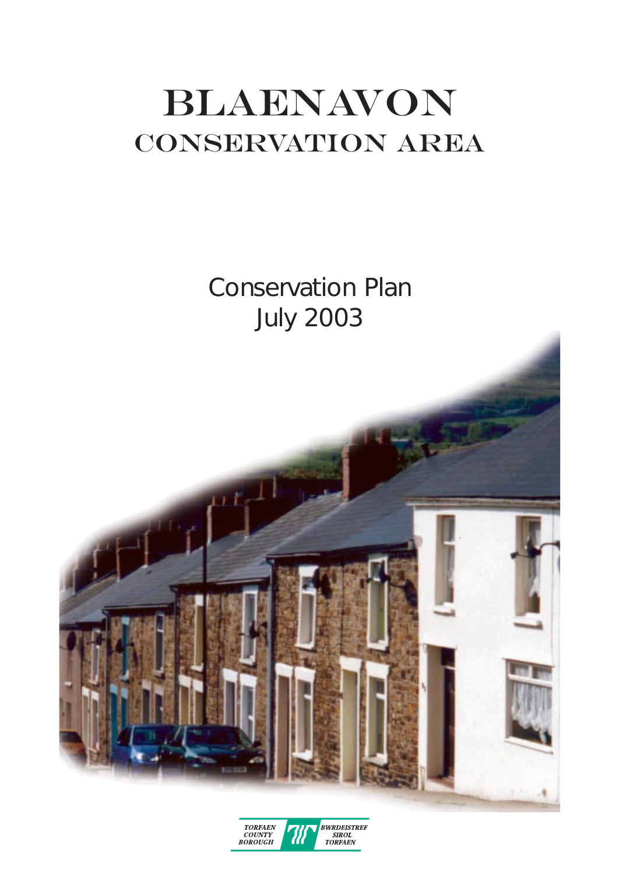# Blaenavon CONSERVATION AREA

Conservation Plan July 2003



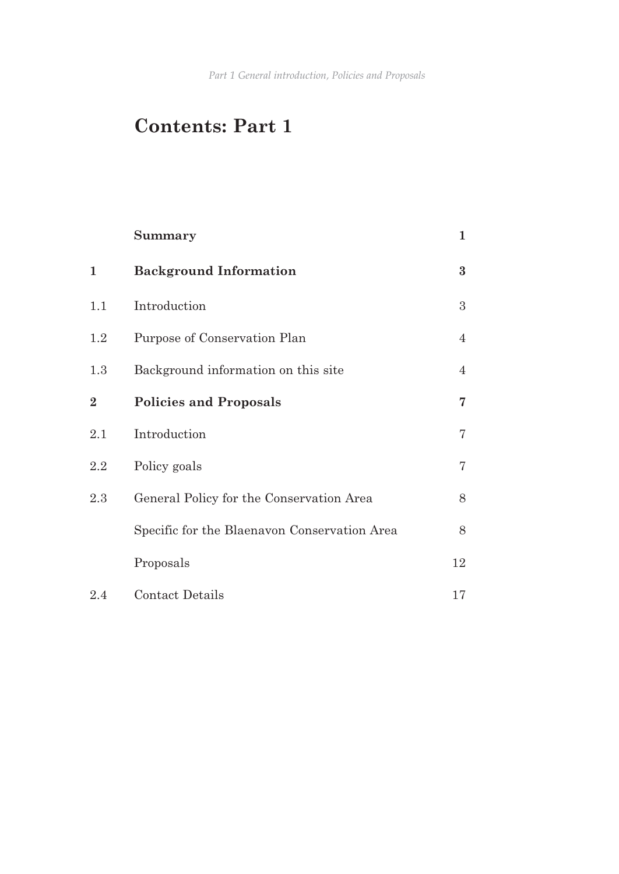*Part 1 General introduction, Policies and Proposals*

# **Contents: Part 1**

|                | Summary                                      | $\mathbf 1$    |
|----------------|----------------------------------------------|----------------|
| $\mathbf{1}$   | <b>Background Information</b>                | $\bf{3}$       |
| 1.1            | Introduction                                 | 3              |
| 1.2            | Purpose of Conservation Plan                 | $\overline{4}$ |
| 1.3            | Background information on this site          | $\overline{4}$ |
| $\overline{2}$ | <b>Policies and Proposals</b>                | 7              |
| 2.1            | Introduction                                 | $\overline{7}$ |
| 2.2            | Policy goals                                 | $\overline{7}$ |
| 2.3            | General Policy for the Conservation Area     | 8              |
|                | Specific for the Blaenavon Conservation Area | 8              |
|                | Proposals                                    | 12             |
| 2.4            | Contact Details                              | 17             |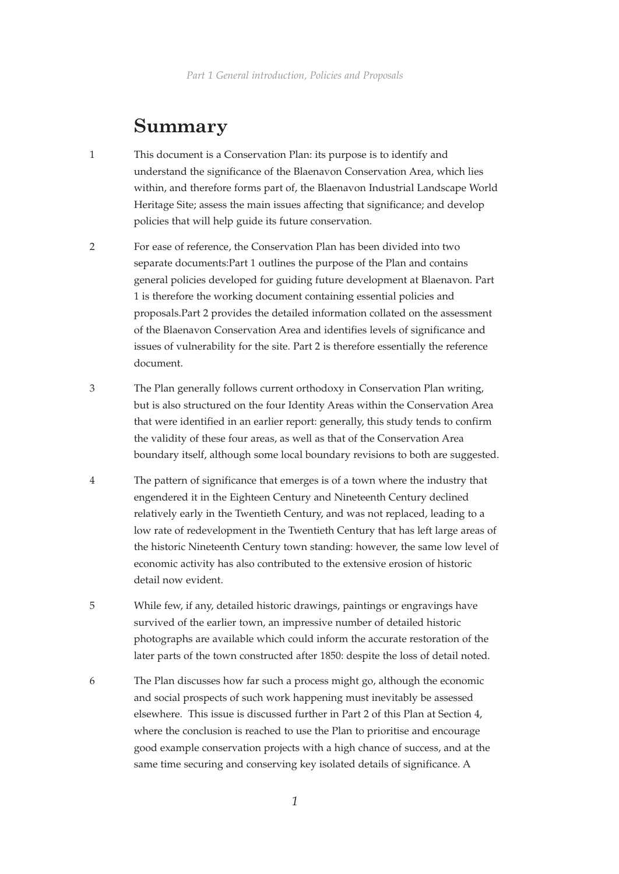# **Summary**

- 1 This document is a Conservation Plan: its purpose is to identify and understand the significance of the Blaenavon Conservation Area, which lies within, and therefore forms part of, the Blaenavon Industrial Landscape World Heritage Site; assess the main issues affecting that significance; and develop policies that will help guide its future conservation.
- 2 For ease of reference, the Conservation Plan has been divided into two separate documents:Part 1 outlines the purpose of the Plan and contains general policies developed for guiding future development at Blaenavon. Part 1 is therefore the working document containing essential policies and proposals.Part 2 provides the detailed information collated on the assessment of the Blaenavon Conservation Area and identifies levels of significance and issues of vulnerability for the site. Part 2 is therefore essentially the reference document.
- 3 The Plan generally follows current orthodoxy in Conservation Plan writing, but is also structured on the four Identity Areas within the Conservation Area that were identified in an earlier report: generally, this study tends to confirm the validity of these four areas, as well as that of the Conservation Area boundary itself, although some local boundary revisions to both are suggested.
- 4 The pattern of significance that emerges is of a town where the industry that engendered it in the Eighteen Century and Nineteenth Century declined relatively early in the Twentieth Century, and was not replaced, leading to a low rate of redevelopment in the Twentieth Century that has left large areas of the historic Nineteenth Century town standing: however, the same low level of economic activity has also contributed to the extensive erosion of historic detail now evident.
- 5 While few, if any, detailed historic drawings, paintings or engravings have survived of the earlier town, an impressive number of detailed historic photographs are available which could inform the accurate restoration of the later parts of the town constructed after 1850: despite the loss of detail noted.
- 6 The Plan discusses how far such a process might go, although the economic and social prospects of such work happening must inevitably be assessed elsewhere. This issue is discussed further in Part 2 of this Plan at Section 4, where the conclusion is reached to use the Plan to prioritise and encourage good example conservation projects with a high chance of success, and at the same time securing and conserving key isolated details of significance. A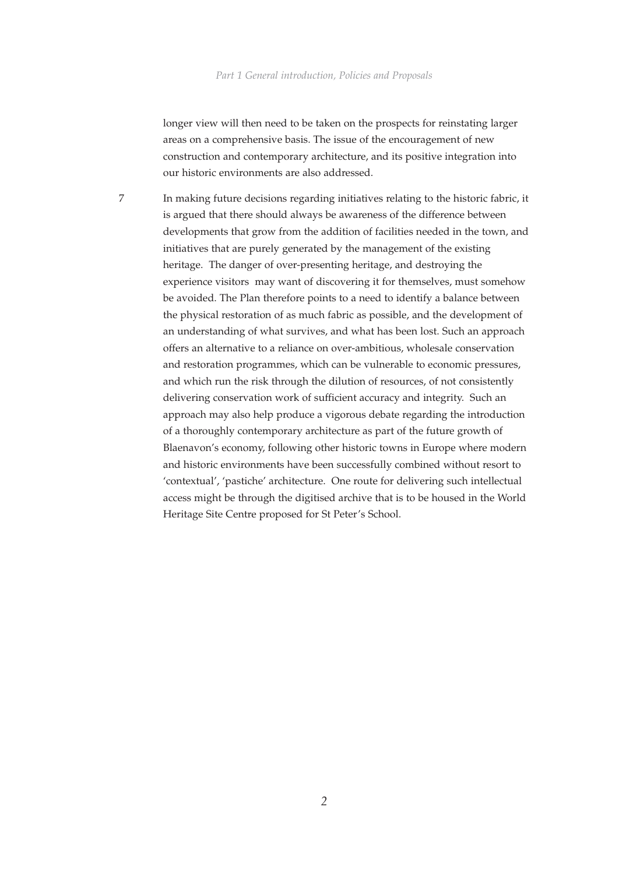longer view will then need to be taken on the prospects for reinstating larger areas on a comprehensive basis. The issue of the encouragement of new construction and contemporary architecture, and its positive integration into our historic environments are also addressed.

7 In making future decisions regarding initiatives relating to the historic fabric, it is argued that there should always be awareness of the difference between developments that grow from the addition of facilities needed in the town, and initiatives that are purely generated by the management of the existing heritage. The danger of over-presenting heritage, and destroying the experience visitors may want of discovering it for themselves, must somehow be avoided. The Plan therefore points to a need to identify a balance between the physical restoration of as much fabric as possible, and the development of an understanding of what survives, and what has been lost. Such an approach offers an alternative to a reliance on over-ambitious, wholesale conservation and restoration programmes, which can be vulnerable to economic pressures, and which run the risk through the dilution of resources, of not consistently delivering conservation work of sufficient accuracy and integrity. Such an approach may also help produce a vigorous debate regarding the introduction of a thoroughly contemporary architecture as part of the future growth of Blaenavon's economy, following other historic towns in Europe where modern and historic environments have been successfully combined without resort to 'contextual', 'pastiche' architecture. One route for delivering such intellectual access might be through the digitised archive that is to be housed in the World Heritage Site Centre proposed for St Peter's School.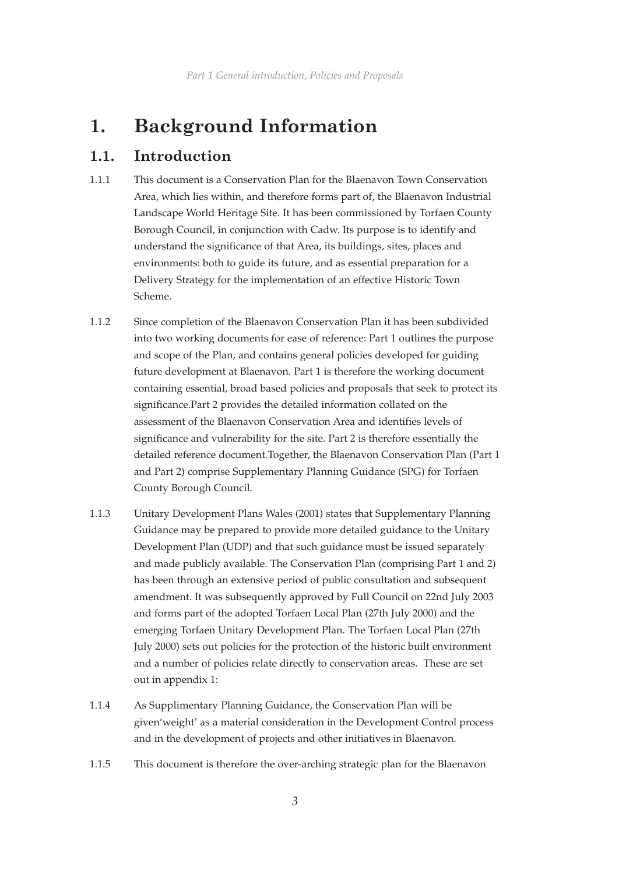# **1. Background Information**

# **1.1. Introduction**

- 1.1.1 This document is a Conservation Plan for the Blaenavon Town Conservation Area, which lies within, and therefore forms part of, the Blaenavon Industrial Landscape World Heritage Site. It has been commissioned by Torfaen County Borough Council, in conjunction with Cadw. Its purpose is to identify and understand the significance of that Area, its buildings, sites, places and environments: both to guide its future, and as essential preparation for a Delivery Strategy for the implementation of an effective Historic Town Scheme.
- 1.1.2 Since completion of the Blaenavon Conservation Plan it has been subdivided into two working documents for ease of reference: Part 1 outlines the purpose and scope of the Plan, and contains general policies developed for guiding future development at Blaenavon. Part 1 is therefore the working document containing essential, broad based policies and proposals that seek to protect its significance.Part 2 provides the detailed information collated on the assessment of the Blaenavon Conservation Area and identifies levels of significance and vulnerability for the site. Part 2 is therefore essentially the detailed reference document.Together, the Blaenavon Conservation Plan (Part 1 and Part 2) comprise Supplementary Planning Guidance (SPG) for Torfaen County Borough Council.
- 1.1.3 Unitary Development Plans Wales (2001) states that Supplementary Planning Guidance may be prepared to provide more detailed guidance to the Unitary Development Plan (UDP) and that such guidance must be issued separately and made publicly available. The Conservation Plan (comprising Part 1 and 2) has been through an extensive period of public consultation and subsequent amendment. It was subsequently approved by Full Council on 22nd July 2003 and forms part of the adopted Torfaen Local Plan (27th July 2000) and the emerging Torfaen Unitary Development Plan. The Torfaen Local Plan (27th July 2000) sets out policies for the protection of the historic built environment and a number of policies relate directly to conservation areas. These are set out in appendix 1:
- 1.1.4 As Supplimentary Planning Guidance, the Conservation Plan will be given'weight' as a material consideration in the Development Control process and in the development of projects and other initiatives in Blaenavon.
- 1.1.5 This document is therefore the over-arching strategic plan for the Blaenavon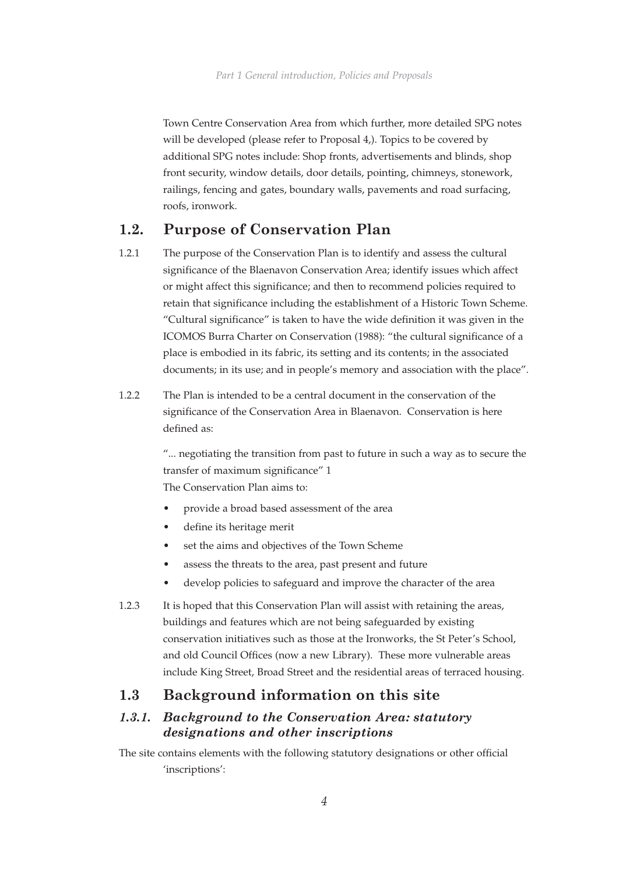Town Centre Conservation Area from which further, more detailed SPG notes will be developed (please refer to Proposal 4,). Topics to be covered by additional SPG notes include: Shop fronts, advertisements and blinds, shop front security, window details, door details, pointing, chimneys, stonework, railings, fencing and gates, boundary walls, pavements and road surfacing, roofs, ironwork.

## **1.2. Purpose of Conservation Plan**

- 1.2.1 The purpose of the Conservation Plan is to identify and assess the cultural significance of the Blaenavon Conservation Area; identify issues which affect or might affect this significance; and then to recommend policies required to retain that significance including the establishment of a Historic Town Scheme. "Cultural significance" is taken to have the wide definition it was given in the ICOMOS Burra Charter on Conservation (1988): "the cultural significance of a place is embodied in its fabric, its setting and its contents; in the associated documents; in its use; and in people's memory and association with the place".
- 1.2.2 The Plan is intended to be a central document in the conservation of the significance of the Conservation Area in Blaenavon. Conservation is here defined as:

"... negotiating the transition from past to future in such a way as to secure the transfer of maximum significance" 1 The Conservation Plan aims to:

- provide a broad based assessment of the area
- define its heritage merit
- set the aims and objectives of the Town Scheme
- assess the threats to the area, past present and future
- develop policies to safeguard and improve the character of the area
- 1.2.3 It is hoped that this Conservation Plan will assist with retaining the areas, buildings and features which are not being safeguarded by existing conservation initiatives such as those at the Ironworks, the St Peter's School, and old Council Offices (now a new Library). These more vulnerable areas include King Street, Broad Street and the residential areas of terraced housing.

## **1.3 Background information on this site**

#### *1.3.1. Background to the Conservation Area: statutory designations and other inscriptions*

The site contains elements with the following statutory designations or other official 'inscriptions':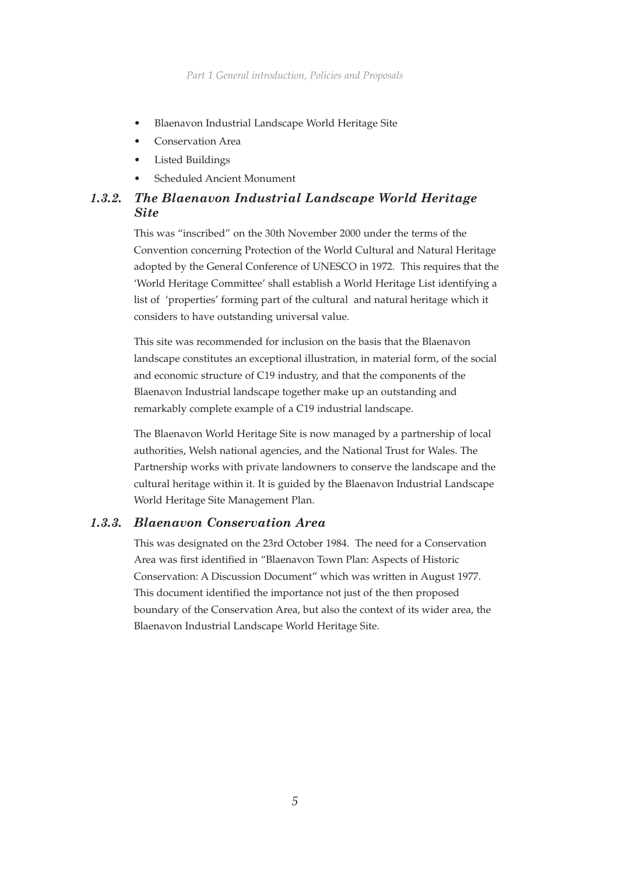- Blaenavon Industrial Landscape World Heritage Site
- Conservation Area
- Listed Buildings
- Scheduled Ancient Monument

# *1.3.2. The Blaenavon Industrial Landscape World Heritage Site*

This was "inscribed" on the 30th November 2000 under the terms of the Convention concerning Protection of the World Cultural and Natural Heritage adopted by the General Conference of UNESCO in 1972. This requires that the 'World Heritage Committee' shall establish a World Heritage List identifying a list of 'properties' forming part of the cultural and natural heritage which it considers to have outstanding universal value.

This site was recommended for inclusion on the basis that the Blaenavon landscape constitutes an exceptional illustration, in material form, of the social and economic structure of C19 industry, and that the components of the Blaenavon Industrial landscape together make up an outstanding and remarkably complete example of a C19 industrial landscape.

The Blaenavon World Heritage Site is now managed by a partnership of local authorities, Welsh national agencies, and the National Trust for Wales. The Partnership works with private landowners to conserve the landscape and the cultural heritage within it. It is guided by the Blaenavon Industrial Landscape World Heritage Site Management Plan.

#### *1.3.3. Blaenavon Conservation Area*

This was designated on the 23rd October 1984. The need for a Conservation Area was first identified in "Blaenavon Town Plan: Aspects of Historic Conservation: A Discussion Document" which was written in August 1977. This document identified the importance not just of the then proposed boundary of the Conservation Area, but also the context of its wider area, the Blaenavon Industrial Landscape World Heritage Site.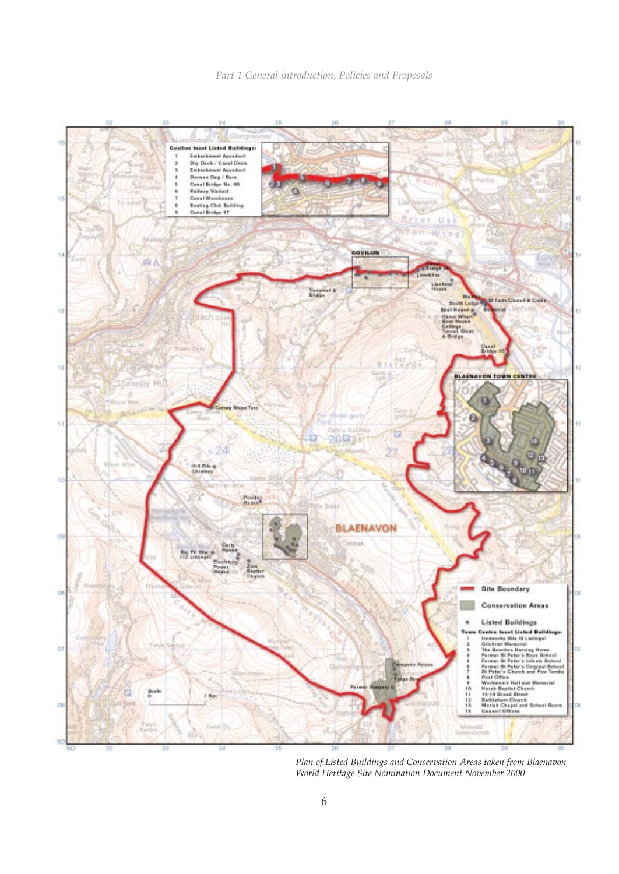

*Plan of Listed Buildings and Conservation Areas taken from Blaenavon World Heritage Site Nomination Document November 2000*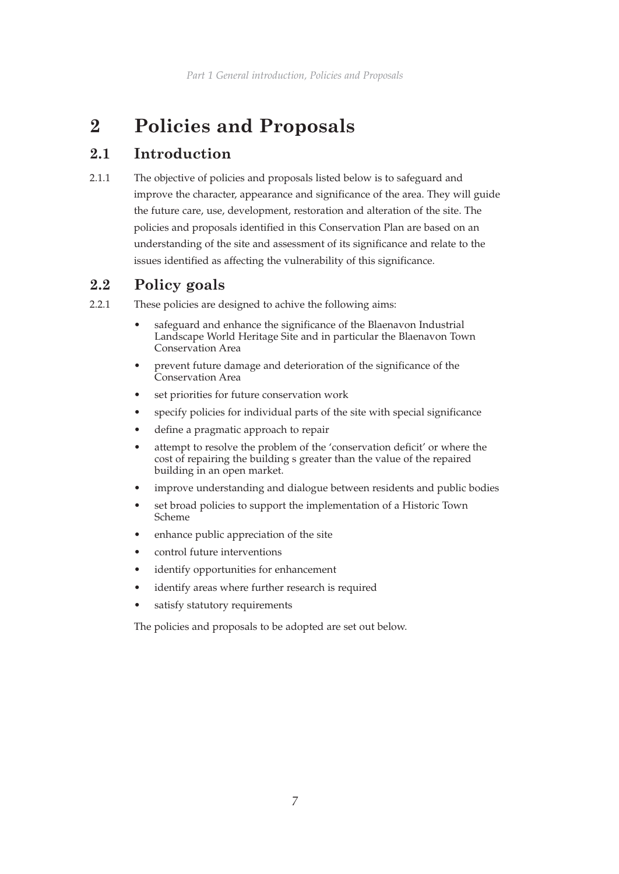# **2 Policies and Proposals**

# **2.1 Introduction**

2.1.1 The objective of policies and proposals listed below is to safeguard and improve the character, appearance and significance of the area. They will guide the future care, use, development, restoration and alteration of the site. The policies and proposals identified in this Conservation Plan are based on an understanding of the site and assessment of its significance and relate to the issues identified as affecting the vulnerability of this significance.

# **2.2 Policy goals**

- 2.2.1 These policies are designed to achive the following aims:
	- safeguard and enhance the significance of the Blaenavon Industrial Landscape World Heritage Site and in particular the Blaenavon Town Conservation Area
	- prevent future damage and deterioration of the significance of the Conservation Area
	- set priorities for future conservation work
	- specify policies for individual parts of the site with special significance
	- define a pragmatic approach to repair
	- attempt to resolve the problem of the 'conservation deficit' or where the cost of repairing the building s greater than the value of the repaired building in an open market.
	- improve understanding and dialogue between residents and public bodies
	- set broad policies to support the implementation of a Historic Town Scheme
	- enhance public appreciation of the site
	- control future interventions
	- identify opportunities for enhancement
	- identify areas where further research is required
	- satisfy statutory requirements

The policies and proposals to be adopted are set out below.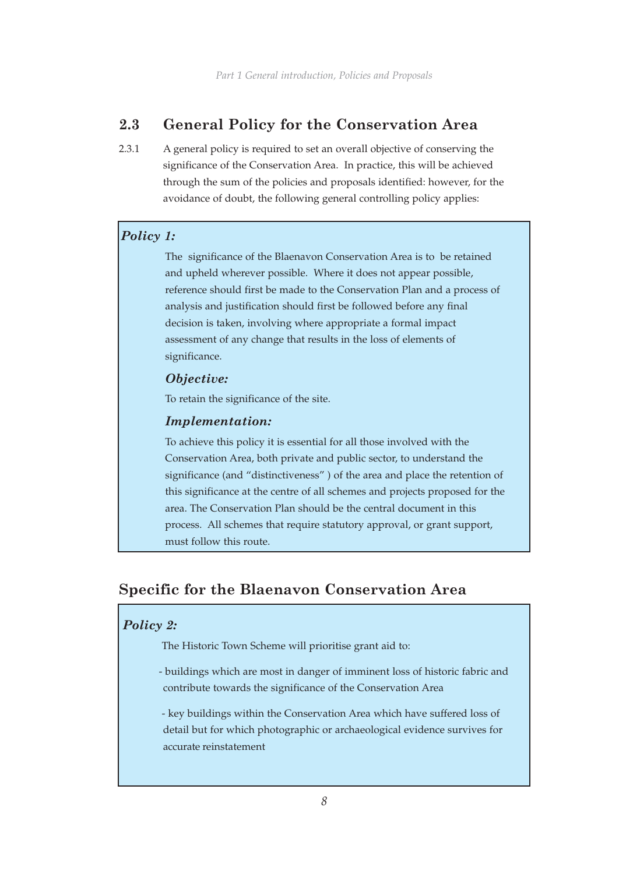# **2.3 General Policy for the Conservation Area**

2.3.1 A general policy is required to set an overall objective of conserving the significance of the Conservation Area. In practice, this will be achieved through the sum of the policies and proposals identified: however, for the avoidance of doubt, the following general controlling policy applies:

### *Policy 1:*

The significance of the Blaenavon Conservation Area is to be retained and upheld wherever possible. Where it does not appear possible, reference should first be made to the Conservation Plan and a process of analysis and justification should first be followed before any final decision is taken, involving where appropriate a formal impact assessment of any change that results in the loss of elements of significance.

#### *Objective:*

To retain the significance of the site.

#### *Implementation:*

To achieve this policy it is essential for all those involved with the Conservation Area, both private and public sector, to understand the significance (and "distinctiveness" ) of the area and place the retention of this significance at the centre of all schemes and projects proposed for the area. The Conservation Plan should be the central document in this process. All schemes that require statutory approval, or grant support, must follow this route.

# **Specific for the Blaenavon Conservation Area**

#### *Policy 2:*

The Historic Town Scheme will prioritise grant aid to:

 - buildings which are most in danger of imminent loss of historic fabric and contribute towards the significance of the Conservation Area

 - key buildings within the Conservation Area which have suffered loss of detail but for which photographic or archaeological evidence survives for accurate reinstatement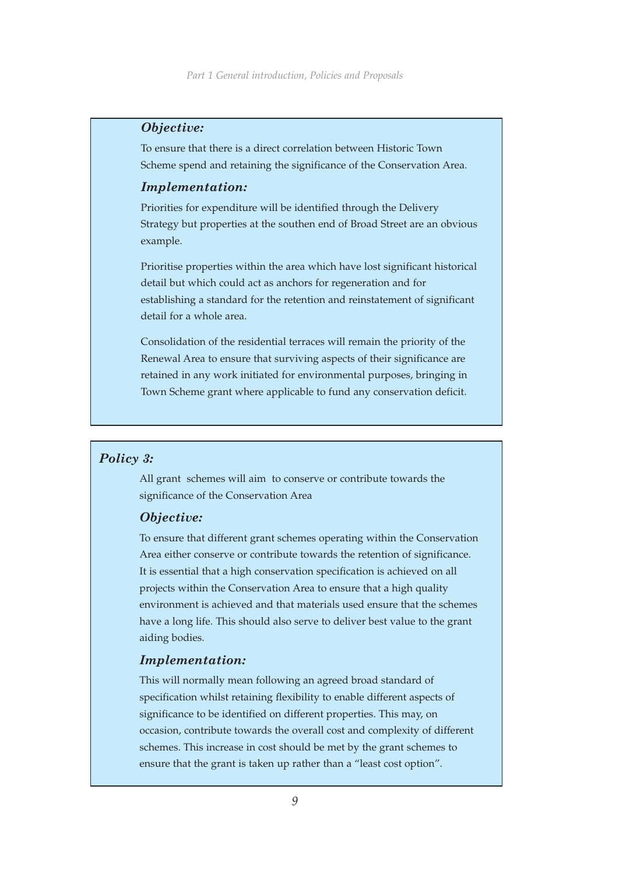#### *Objective:*

To ensure that there is a direct correlation between Historic Town Scheme spend and retaining the significance of the Conservation Area.

#### *Implementation:*

Priorities for expenditure will be identified through the Delivery Strategy but properties at the southen end of Broad Street are an obvious example.

Prioritise properties within the area which have lost significant historical detail but which could act as anchors for regeneration and for establishing a standard for the retention and reinstatement of significant detail for a whole area.

Consolidation of the residential terraces will remain the priority of the Renewal Area to ensure that surviving aspects of their significance are retained in any work initiated for environmental purposes, bringing in Town Scheme grant where applicable to fund any conservation deficit.

#### *Policy 3:*

All grant schemes will aim to conserve or contribute towards the significance of the Conservation Area

#### *Objective:*

To ensure that different grant schemes operating within the Conservation Area either conserve or contribute towards the retention of significance. It is essential that a high conservation specification is achieved on all projects within the Conservation Area to ensure that a high quality environment is achieved and that materials used ensure that the schemes have a long life. This should also serve to deliver best value to the grant aiding bodies.

#### *Implementation:*

This will normally mean following an agreed broad standard of specification whilst retaining flexibility to enable different aspects of significance to be identified on different properties. This may, on occasion, contribute towards the overall cost and complexity of different schemes. This increase in cost should be met by the grant schemes to ensure that the grant is taken up rather than a "least cost option".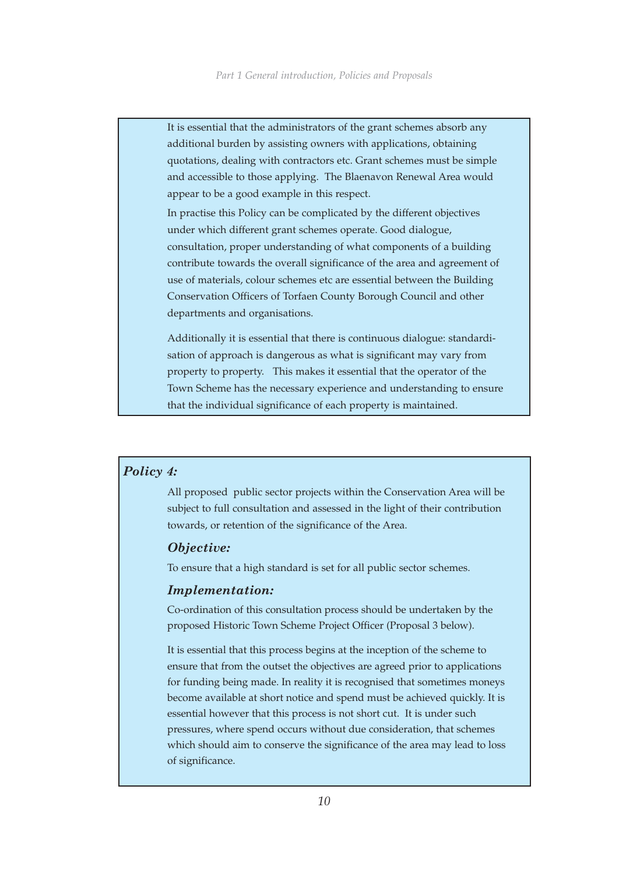It is essential that the administrators of the grant schemes absorb any additional burden by assisting owners with applications, obtaining quotations, dealing with contractors etc. Grant schemes must be simple and accessible to those applying. The Blaenavon Renewal Area would appear to be a good example in this respect.

In practise this Policy can be complicated by the different objectives under which different grant schemes operate. Good dialogue, consultation, proper understanding of what components of a building contribute towards the overall significance of the area and agreement of use of materials, colour schemes etc are essential between the Building Conservation Officers of Torfaen County Borough Council and other departments and organisations.

Additionally it is essential that there is continuous dialogue: standardisation of approach is dangerous as what is significant may vary from property to property. This makes it essential that the operator of the Town Scheme has the necessary experience and understanding to ensure that the individual significance of each property is maintained.

#### *Policy 4:*

All proposed public sector projects within the Conservation Area will be subject to full consultation and assessed in the light of their contribution towards, or retention of the significance of the Area.

#### *Objective:*

To ensure that a high standard is set for all public sector schemes.

#### *Implementation:*

Co-ordination of this consultation process should be undertaken by the proposed Historic Town Scheme Project Officer (Proposal 3 below).

It is essential that this process begins at the inception of the scheme to ensure that from the outset the objectives are agreed prior to applications for funding being made. In reality it is recognised that sometimes moneys become available at short notice and spend must be achieved quickly. It is essential however that this process is not short cut. It is under such pressures, where spend occurs without due consideration, that schemes which should aim to conserve the significance of the area may lead to loss of significance.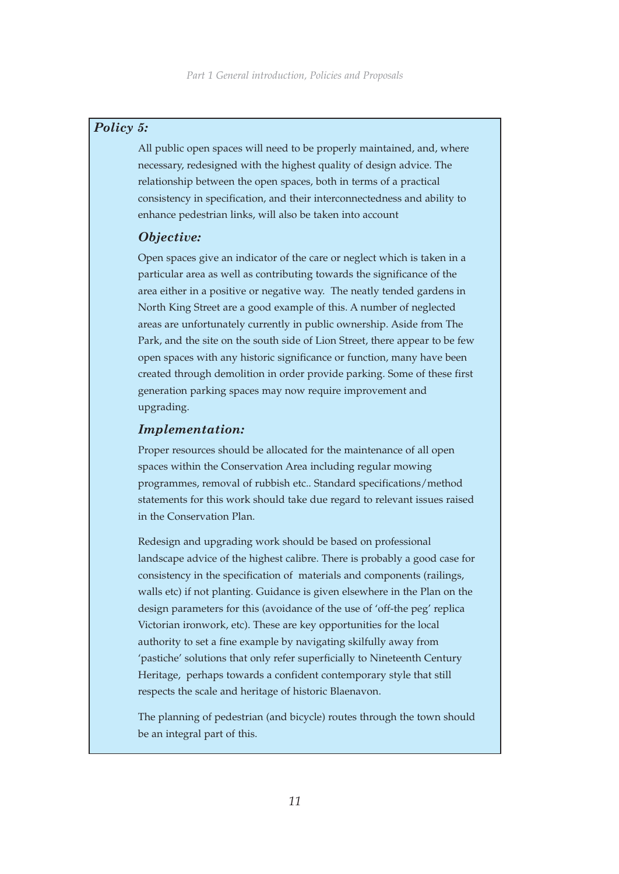#### *Policy 5:*

All public open spaces will need to be properly maintained, and, where necessary, redesigned with the highest quality of design advice. The relationship between the open spaces, both in terms of a practical consistency in specification, and their interconnectedness and ability to enhance pedestrian links, will also be taken into account

#### *Objective:*

Open spaces give an indicator of the care or neglect which is taken in a particular area as well as contributing towards the significance of the area either in a positive or negative way. The neatly tended gardens in North King Street are a good example of this. A number of neglected areas are unfortunately currently in public ownership. Aside from The Park, and the site on the south side of Lion Street, there appear to be few open spaces with any historic significance or function, many have been created through demolition in order provide parking. Some of these first generation parking spaces may now require improvement and upgrading.

#### *Implementation:*

Proper resources should be allocated for the maintenance of all open spaces within the Conservation Area including regular mowing programmes, removal of rubbish etc.. Standard specifications/method statements for this work should take due regard to relevant issues raised in the Conservation Plan.

Redesign and upgrading work should be based on professional landscape advice of the highest calibre. There is probably a good case for consistency in the specification of materials and components (railings, walls etc) if not planting. Guidance is given elsewhere in the Plan on the design parameters for this (avoidance of the use of 'off-the peg' replica Victorian ironwork, etc). These are key opportunities for the local authority to set a fine example by navigating skilfully away from 'pastiche' solutions that only refer superficially to Nineteenth Century Heritage, perhaps towards a confident contemporary style that still respects the scale and heritage of historic Blaenavon.

The planning of pedestrian (and bicycle) routes through the town should be an integral part of this.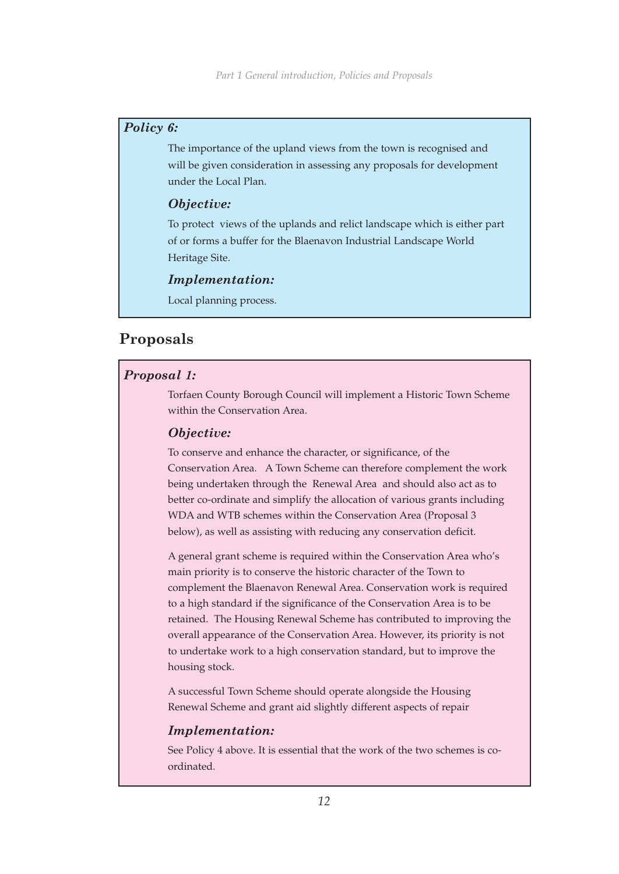#### *Policy 6:*

The importance of the upland views from the town is recognised and will be given consideration in assessing any proposals for development under the Local Plan.

#### *Objective:*

To protect views of the uplands and relict landscape which is either part of or forms a buffer for the Blaenavon Industrial Landscape World Heritage Site.

#### *Implementation:*

Local planning process.

## **Proposals**

#### *Proposal 1:*

Torfaen County Borough Council will implement a Historic Town Scheme within the Conservation Area.

#### *Objective:*

To conserve and enhance the character, or significance, of the Conservation Area. A Town Scheme can therefore complement the work being undertaken through the Renewal Area and should also act as to better co-ordinate and simplify the allocation of various grants including WDA and WTB schemes within the Conservation Area (Proposal 3 below), as well as assisting with reducing any conservation deficit.

A general grant scheme is required within the Conservation Area who's main priority is to conserve the historic character of the Town to complement the Blaenavon Renewal Area. Conservation work is required to a high standard if the significance of the Conservation Area is to be retained. The Housing Renewal Scheme has contributed to improving the overall appearance of the Conservation Area. However, its priority is not to undertake work to a high conservation standard, but to improve the housing stock.

A successful Town Scheme should operate alongside the Housing Renewal Scheme and grant aid slightly different aspects of repair

#### *Implementation:*

See Policy 4 above. It is essential that the work of the two schemes is coordinated.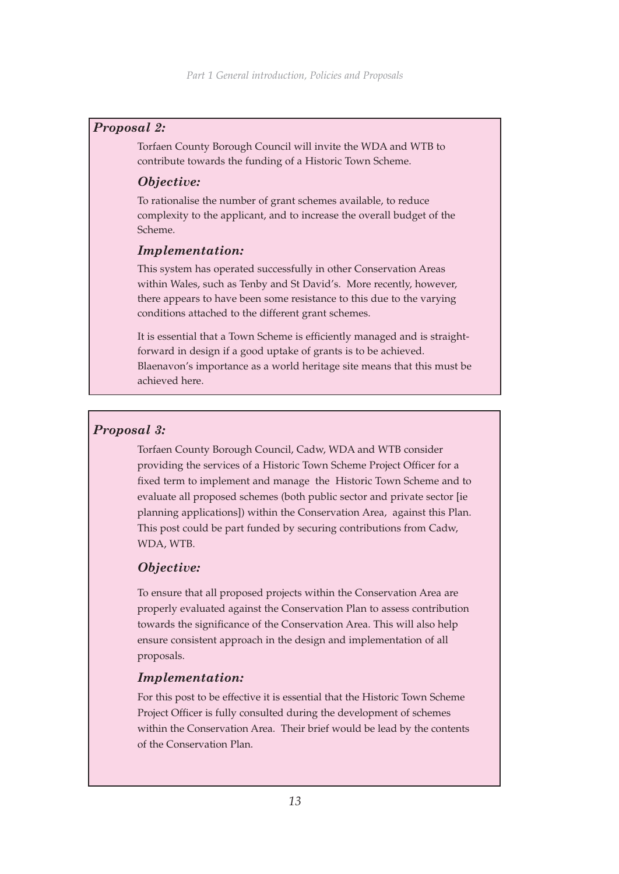#### *Proposal 2:*

Torfaen County Borough Council will invite the WDA and WTB to contribute towards the funding of a Historic Town Scheme.

#### *Objective:*

To rationalise the number of grant schemes available, to reduce complexity to the applicant, and to increase the overall budget of the Scheme.

#### *Implementation:*

This system has operated successfully in other Conservation Areas within Wales, such as Tenby and St David's. More recently, however, there appears to have been some resistance to this due to the varying conditions attached to the different grant schemes.

It is essential that a Town Scheme is efficiently managed and is straightforward in design if a good uptake of grants is to be achieved. Blaenavon's importance as a world heritage site means that this must be achieved here.

#### *Proposal 3:*

Torfaen County Borough Council, Cadw, WDA and WTB consider providing the services of a Historic Town Scheme Project Officer for a fixed term to implement and manage the Historic Town Scheme and to evaluate all proposed schemes (both public sector and private sector [ie planning applications]) within the Conservation Area, against this Plan. This post could be part funded by securing contributions from Cadw, WDA, WTB.

#### *Objective:*

To ensure that all proposed projects within the Conservation Area are properly evaluated against the Conservation Plan to assess contribution towards the significance of the Conservation Area. This will also help ensure consistent approach in the design and implementation of all proposals.

#### *Implementation:*

For this post to be effective it is essential that the Historic Town Scheme Project Officer is fully consulted during the development of schemes within the Conservation Area. Their brief would be lead by the contents of the Conservation Plan.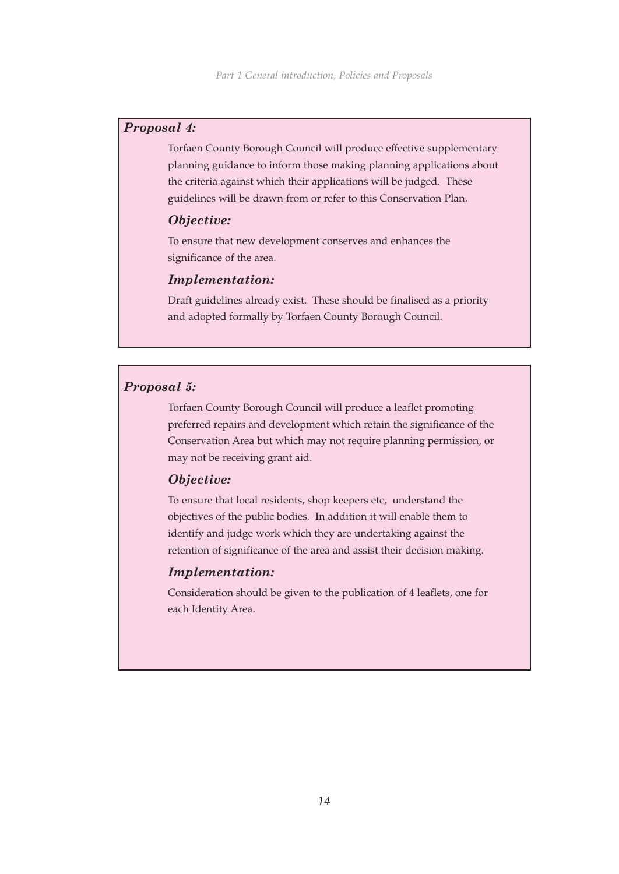#### *Proposal 4:*

Torfaen County Borough Council will produce effective supplementary planning guidance to inform those making planning applications about the criteria against which their applications will be judged. These guidelines will be drawn from or refer to this Conservation Plan.

#### *Objective:*

To ensure that new development conserves and enhances the significance of the area.

#### *Implementation:*

Draft guidelines already exist. These should be finalised as a priority and adopted formally by Torfaen County Borough Council.

#### *Proposal 5:*

Torfaen County Borough Council will produce a leaflet promoting preferred repairs and development which retain the significance of the Conservation Area but which may not require planning permission, or may not be receiving grant aid.

#### *Objective:*

To ensure that local residents, shop keepers etc, understand the objectives of the public bodies. In addition it will enable them to identify and judge work which they are undertaking against the retention of significance of the area and assist their decision making.

#### *Implementation:*

Consideration should be given to the publication of 4 leaflets, one for each Identity Area.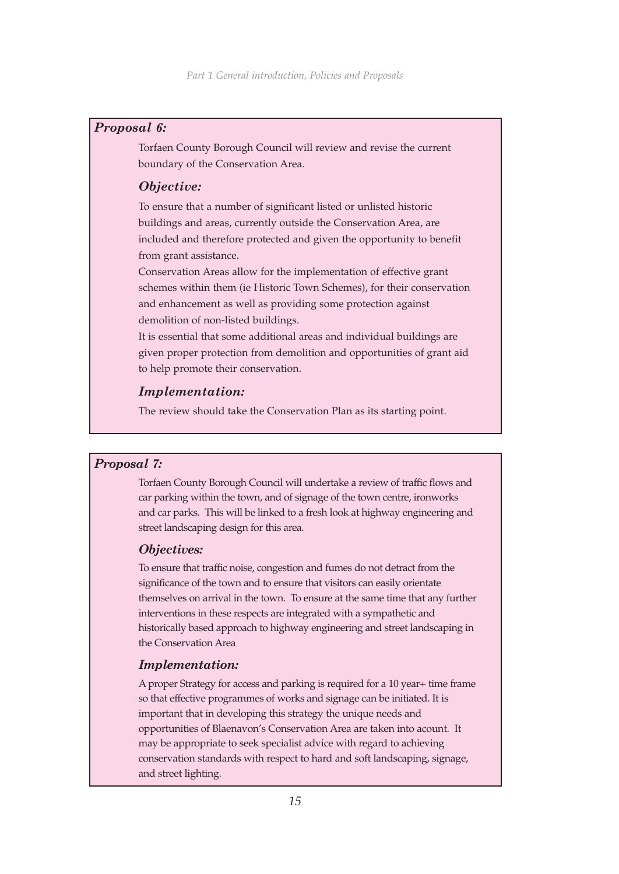#### *Proposal 6:*

Torfaen County Borough Council will review and revise the current boundary of the Conservation Area.

#### *Objective:*

To ensure that a number of significant listed or unlisted historic buildings and areas, currently outside the Conservation Area, are included and therefore protected and given the opportunity to benefit from grant assistance.

Conservation Areas allow for the implementation of effective grant schemes within them (ie Historic Town Schemes), for their conservation and enhancement as well as providing some protection against demolition of non-listed buildings.

It is essential that some additional areas and individual buildings are given proper protection from demolition and opportunities of grant aid to help promote their conservation.

#### *Implementation:*

The review should take the Conservation Plan as its starting point.

#### *Proposal 7:*

Torfaen County Borough Council will undertake a review of traffic flows and car parking within the town, and of signage of the town centre, ironworks and car parks. This will be linked to a fresh look at highway engineering and street landscaping design for this area.

#### *Objectives:*

To ensure that traffic noise, congestion and fumes do not detract from the significance of the town and to ensure that visitors can easily orientate themselves on arrival in the town. To ensure at the same time that any further interventions in these respects are integrated with a sympathetic and historically based approach to highway engineering and street landscaping in the Conservation Area

#### *Implementation:*

A proper Strategy for access and parking is required for a 10 year+ time frame so that effective programmes of works and signage can be initiated. It is important that in developing this strategy the unique needs and opportunities of Blaenavon's Conservation Area are taken into acount. It may be appropriate to seek specialist advice with regard to achieving conservation standards with respect to hard and soft landscaping, signage, and street lighting.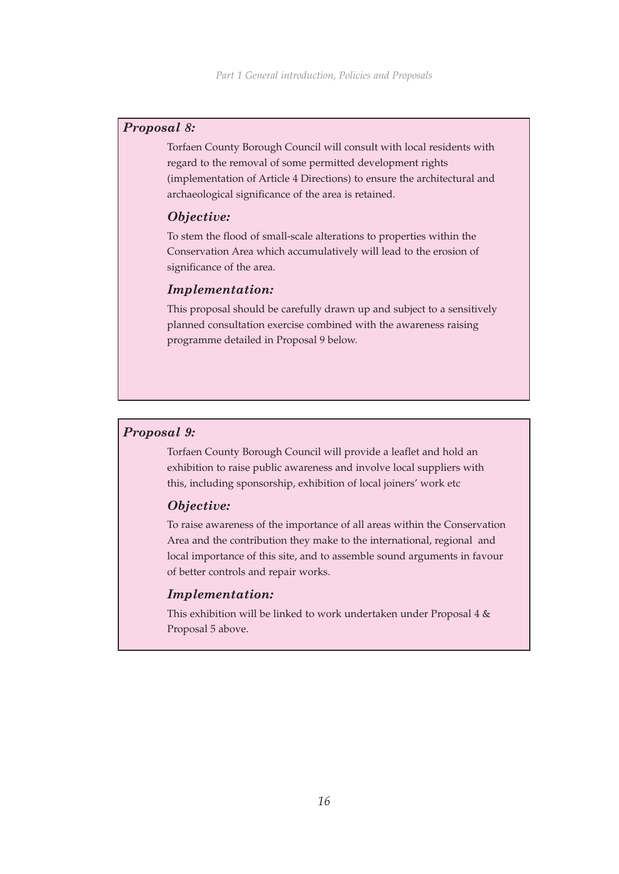#### *Proposal 8:*

Torfaen County Borough Council will consult with local residents with regard to the removal of some permitted development rights (implementation of Article 4 Directions) to ensure the architectural and archaeological significance of the area is retained.

#### *Objective:*

To stem the flood of small-scale alterations to properties within the Conservation Area which accumulatively will lead to the erosion of significance of the area.

### *Implementation:*

This proposal should be carefully drawn up and subject to a sensitively planned consultation exercise combined with the awareness raising programme detailed in Proposal 9 below.

#### *Proposal 9:*

Torfaen County Borough Council will provide a leaflet and hold an exhibition to raise public awareness and involve local suppliers with this, including sponsorship, exhibition of local joiners' work etc

#### *Objective:*

To raise awareness of the importance of all areas within the Conservation Area and the contribution they make to the international, regional and local importance of this site, and to assemble sound arguments in favour of better controls and repair works.

#### *Implementation:*

This exhibition will be linked to work undertaken under Proposal 4 & Proposal 5 above.